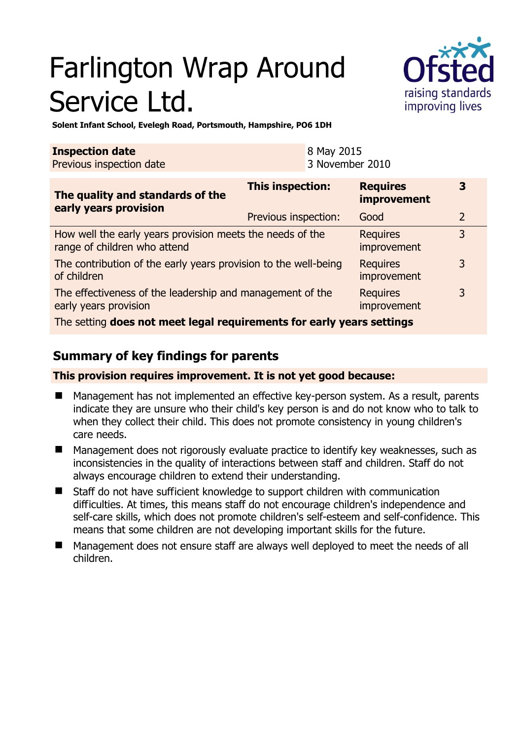# Farlington Wrap Around Service Ltd.



**Solent Infant School, Evelegh Road, Portsmouth, Hampshire, PO6 1DH** 

| <b>Inspection date</b><br>8 May 2015 |                 |
|--------------------------------------|-----------------|
| Previous inspection date             | 3 November 2010 |

| The quality and standards of the<br>early years provision                                 | <b>This inspection:</b> | <b>Requires</b><br>improvement | 3              |
|-------------------------------------------------------------------------------------------|-------------------------|--------------------------------|----------------|
|                                                                                           | Previous inspection:    | Good                           | $\overline{2}$ |
| How well the early years provision meets the needs of the<br>range of children who attend |                         | <b>Requires</b><br>improvement | 3              |
| The contribution of the early years provision to the well-being<br>of children            |                         | <b>Requires</b><br>improvement | 3              |
| The effectiveness of the leadership and management of the<br>early years provision        |                         | <b>Requires</b><br>improvement | 3              |
| The setting does not meet legal requirements for early years settings                     |                         |                                |                |

# **Summary of key findings for parents**

**This provision requires improvement. It is not yet good because:** 

- Management has not implemented an effective key-person system. As a result, parents indicate they are unsure who their child's key person is and do not know who to talk to when they collect their child. This does not promote consistency in young children's care needs.
- Management does not rigorously evaluate practice to identify key weaknesses, such as inconsistencies in the quality of interactions between staff and children. Staff do not always encourage children to extend their understanding.
- Staff do not have sufficient knowledge to support children with communication difficulties. At times, this means staff do not encourage children's independence and self-care skills, which does not promote children's self-esteem and self-confidence. This means that some children are not developing important skills for the future.
- Management does not ensure staff are always well deployed to meet the needs of all children.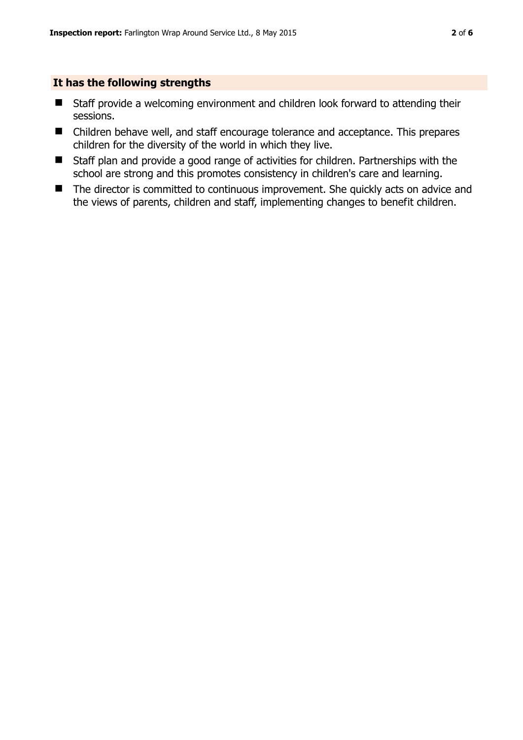#### **It has the following strengths**

- Staff provide a welcoming environment and children look forward to attending their sessions.
- Children behave well, and staff encourage tolerance and acceptance. This prepares children for the diversity of the world in which they live.
- Staff plan and provide a good range of activities for children. Partnerships with the school are strong and this promotes consistency in children's care and learning.
- The director is committed to continuous improvement. She quickly acts on advice and the views of parents, children and staff, implementing changes to benefit children.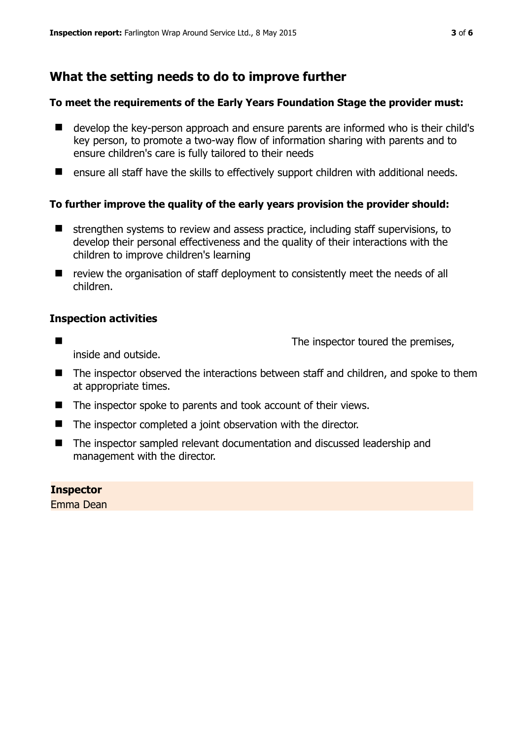# **What the setting needs to do to improve further**

## **To meet the requirements of the Early Years Foundation Stage the provider must:**

- develop the key-person approach and ensure parents are informed who is their child's key person, to promote a two-way flow of information sharing with parents and to ensure children's care is fully tailored to their needs
- ensure all staff have the skills to effectively support children with additional needs.

## **To further improve the quality of the early years provision the provider should:**

- $\blacksquare$  strengthen systems to review and assess practice, including staff supervisions, to develop their personal effectiveness and the quality of their interactions with the children to improve children's learning
- review the organisation of staff deployment to consistently meet the needs of all children.

## **Inspection activities**

■ The inspector toured the premises,

inside and outside.

- The inspector observed the interactions between staff and children, and spoke to them at appropriate times.
- The inspector spoke to parents and took account of their views.
- The inspector completed a joint observation with the director.
- The inspector sampled relevant documentation and discussed leadership and management with the director.

**Inspector**  Emma Dean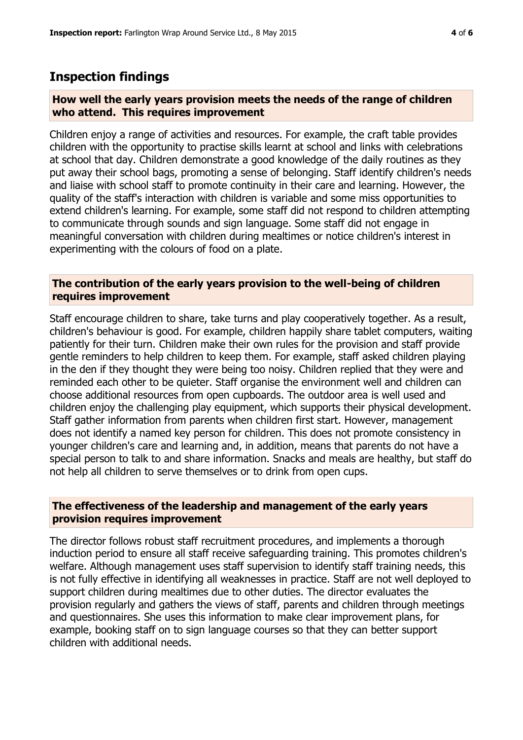## **Inspection findings**

## **How well the early years provision meets the needs of the range of children who attend. This requires improvement**

Children enjoy a range of activities and resources. For example, the craft table provides children with the opportunity to practise skills learnt at school and links with celebrations at school that day. Children demonstrate a good knowledge of the daily routines as they put away their school bags, promoting a sense of belonging. Staff identify children's needs and liaise with school staff to promote continuity in their care and learning. However, the quality of the staff's interaction with children is variable and some miss opportunities to extend children's learning. For example, some staff did not respond to children attempting to communicate through sounds and sign language. Some staff did not engage in meaningful conversation with children during mealtimes or notice children's interest in experimenting with the colours of food on a plate.

### **The contribution of the early years provision to the well-being of children requires improvement**

Staff encourage children to share, take turns and play cooperatively together. As a result, children's behaviour is good. For example, children happily share tablet computers, waiting patiently for their turn. Children make their own rules for the provision and staff provide gentle reminders to help children to keep them. For example, staff asked children playing in the den if they thought they were being too noisy. Children replied that they were and reminded each other to be quieter. Staff organise the environment well and children can choose additional resources from open cupboards. The outdoor area is well used and children enjoy the challenging play equipment, which supports their physical development. Staff gather information from parents when children first start. However, management does not identify a named key person for children. This does not promote consistency in younger children's care and learning and, in addition, means that parents do not have a special person to talk to and share information. Snacks and meals are healthy, but staff do not help all children to serve themselves or to drink from open cups.

#### **The effectiveness of the leadership and management of the early years provision requires improvement**

The director follows robust staff recruitment procedures, and implements a thorough induction period to ensure all staff receive safeguarding training. This promotes children's welfare. Although management uses staff supervision to identify staff training needs, this is not fully effective in identifying all weaknesses in practice. Staff are not well deployed to support children during mealtimes due to other duties. The director evaluates the provision regularly and gathers the views of staff, parents and children through meetings and questionnaires. She uses this information to make clear improvement plans, for example, booking staff on to sign language courses so that they can better support children with additional needs.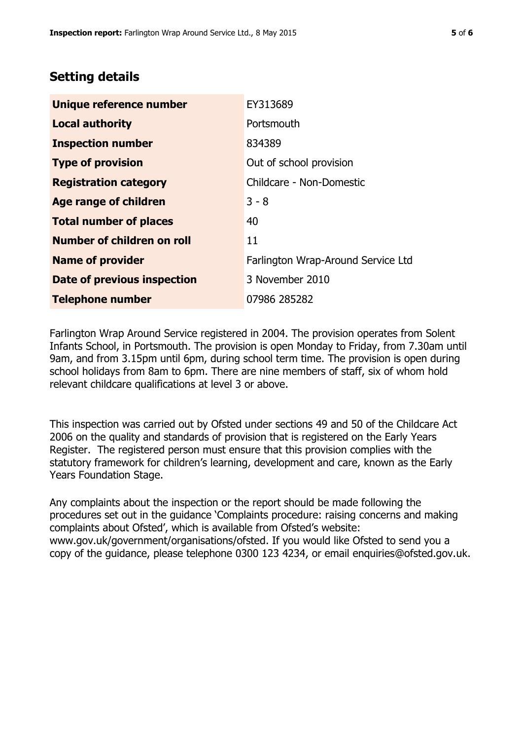# **Setting details**

| Unique reference number       | EY313689                           |  |
|-------------------------------|------------------------------------|--|
| <b>Local authority</b>        | Portsmouth                         |  |
| <b>Inspection number</b>      | 834389                             |  |
| <b>Type of provision</b>      | Out of school provision            |  |
| <b>Registration category</b>  | Childcare - Non-Domestic           |  |
| Age range of children         | $3 - 8$                            |  |
| <b>Total number of places</b> | 40                                 |  |
| Number of children on roll    | 11                                 |  |
| <b>Name of provider</b>       | Farlington Wrap-Around Service Ltd |  |
| Date of previous inspection   | 3 November 2010                    |  |
| <b>Telephone number</b>       | 07986 285282                       |  |

Farlington Wrap Around Service registered in 2004. The provision operates from Solent Infants School, in Portsmouth. The provision is open Monday to Friday, from 7.30am until 9am, and from 3.15pm until 6pm, during school term time. The provision is open during school holidays from 8am to 6pm. There are nine members of staff, six of whom hold relevant childcare qualifications at level 3 or above.

This inspection was carried out by Ofsted under sections 49 and 50 of the Childcare Act 2006 on the quality and standards of provision that is registered on the Early Years Register. The registered person must ensure that this provision complies with the statutory framework for children's learning, development and care, known as the Early Years Foundation Stage.

Any complaints about the inspection or the report should be made following the procedures set out in the guidance 'Complaints procedure: raising concerns and making complaints about Ofsted', which is available from Ofsted's website: www.gov.uk/government/organisations/ofsted. If you would like Ofsted to send you a copy of the guidance, please telephone 0300 123 4234, or email enquiries@ofsted.gov.uk.